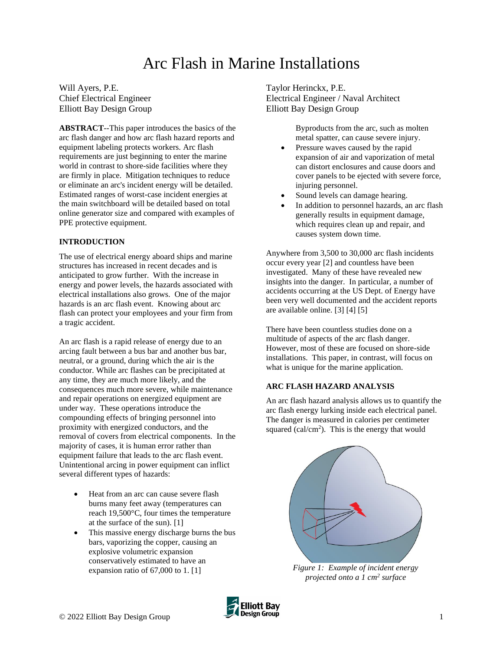# Arc Flash in Marine Installations

Will Ayers, P.E. Chief Electrical Engineer Elliott Bay Design Group

**ABSTRACT**--This paper introduces the basics of the arc flash danger and how arc flash hazard reports and equipment labeling protects workers. Arc flash requirements are just beginning to enter the marine world in contrast to shore-side facilities where they are firmly in place. Mitigation techniques to reduce or eliminate an arc's incident energy will be detailed. Estimated ranges of worst-case incident energies at the main switchboard will be detailed based on total online generator size and compared with examples of PPE protective equipment.

# **INTRODUCTION**

The use of electrical energy aboard ships and marine structures has increased in recent decades and is anticipated to grow further. With the increase in energy and power levels, the hazards associated with electrical installations also grows. One of the major hazards is an arc flash event. Knowing about arc flash can protect your employees and your firm from a tragic accident.

An arc flash is a rapid release of energy due to an arcing fault between a bus bar and another bus bar, neutral, or a ground, during which the air is the conductor. While arc flashes can be precipitated at any time, they are much more likely, and the consequences much more severe, while maintenance and repair operations on energized equipment are under way. These operations introduce the compounding effects of bringing personnel into proximity with energized conductors, and the removal of covers from electrical components. In the majority of cases, it is human error rather than equipment failure that leads to the arc flash event. Unintentional arcing in power equipment can inflict several different types of hazards:

- Heat from an arc can cause severe flash burns many feet away (temperatures can reach 19,500°C, four times the temperature at the surface of the sun). [1]
- This massive energy discharge burns the bus bars, vaporizing the copper, causing an explosive volumetric expansion conservatively estimated to have an expansion ratio of 67,000 to 1. [1]

Taylor Herinckx, P.E. Electrical Engineer / Naval Architect Elliott Bay Design Group

> Byproducts from the arc, such as molten metal spatter, can cause severe injury.

- Pressure waves caused by the rapid expansion of air and vaporization of metal can distort enclosures and cause doors and cover panels to be ejected with severe force, injuring personnel.
- Sound levels can damage hearing.
- In addition to personnel hazards, an arc flash generally results in equipment damage, which requires clean up and repair, and causes system down time.

Anywhere from 3,500 to 30,000 arc flash incidents occur every year [2] and countless have been investigated. Many of these have revealed new insights into the danger. In particular, a number of accidents occurring at the US Dept. of Energy have been very well documented and the accident reports are available online. [3] [4] [5]

There have been countless studies done on a multitude of aspects of the arc flash danger. However, most of these are focused on shore-side installations. This paper, in contrast, will focus on what is unique for the marine application.

### **ARC FLASH HAZARD ANALYSIS**

An arc flash hazard analysis allows us to quantify the arc flash energy lurking inside each electrical panel. The danger is measured in calories per centimeter squared (cal/cm<sup>2</sup>). This is the energy that would



*Figure 1: Example of incident energy projected onto a 1 cm<sup>2</sup> surface*

<span id="page-0-0"></span>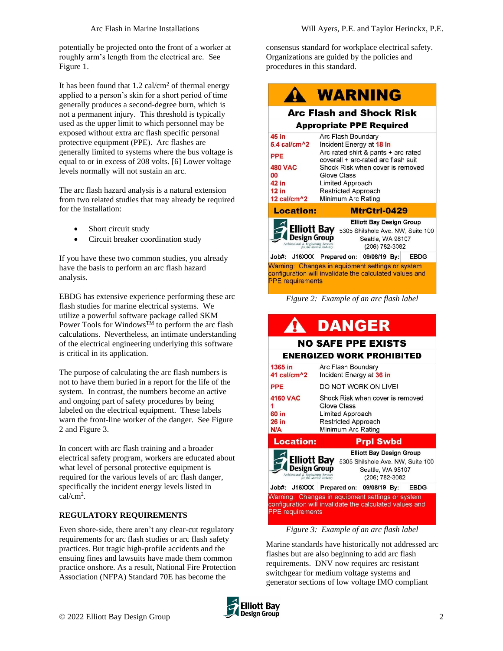potentially be projected onto the front of a worker at roughly arm's length from the electrical arc. See [Figure 1.](#page-0-0)

It has been found that  $1.2 \text{ cal/cm}^2$  of thermal energy applied to a person's skin for a short period of time generally produces a second-degree burn, which is not a permanent injury. This threshold is typically used as the upper limit to which personnel may be exposed without extra arc flash specific personal protective equipment (PPE). Arc flashes are generally limited to systems where the bus voltage is equal to or in excess of 208 volts. [6] Lower voltage levels normally will not sustain an arc.

The arc flash hazard analysis is a natural extension from two related studies that may already be required for the installation:

- Short circuit study
- Circuit breaker coordination study

If you have these two common studies, you already have the basis to perform an arc flash hazard analysis.

EBDG has extensive experience performing these arc flash studies for marine electrical systems. We utilize a powerful software package called SKM Power Tools for Windows<sup>TM</sup> to perform the arc flash calculations. Nevertheless, an intimate understanding of the electrical engineering underlying this software is critical in its application.

The purpose of calculating the arc flash numbers is not to have them buried in a report for the life of the system. In contrast, the numbers become an active and ongoing part of safety procedures by being labeled on the electrical equipment. These labels warn the front-line worker of the danger. See [Figure](#page-1-0)  [2](#page-1-0) and [Figure 3.](#page-1-1)

In concert with arc flash training and a broader electrical safety program, workers are educated about what level of personal protective equipment is required for the various levels of arc flash danger, specifically the incident energy levels listed in cal/cm<sup>2</sup> .

# **REGULATORY REQUIREMENTS**

Even shore-side, there aren't any clear-cut regulatory requirements for arc flash studies or arc flash safety practices. But tragic high-profile accidents and the ensuing fines and lawsuits have made them common practice onshore. As a result, National Fire Protection Association (NFPA) Standard 70E has become the

consensus standard for workplace electrical safety. Organizations are guided by the policies and procedures in this standard.

|                                                                                                                                                                                                                      | <b>WARNING</b>                                                                                                                                                                                                                                   |  |  |
|----------------------------------------------------------------------------------------------------------------------------------------------------------------------------------------------------------------------|--------------------------------------------------------------------------------------------------------------------------------------------------------------------------------------------------------------------------------------------------|--|--|
|                                                                                                                                                                                                                      | <b>Arc Flash and Shock Risk</b>                                                                                                                                                                                                                  |  |  |
| <b>Appropriate PPE Required</b>                                                                                                                                                                                      |                                                                                                                                                                                                                                                  |  |  |
| 45 in<br>$5.4$ cal/cm $^{4}$ 2<br><b>PPE</b><br><b>480 VAC</b><br>00<br>42 in<br>$12$ in<br>12 cal/cm^2                                                                                                              | Arc Flash Boundary<br>Incident Energy at 18 in<br>Arc-rated shirt & pants + arc-rated<br>coverall + arc-rated arc flash suit<br>Shock Risk when cover is removed<br>Glove Class<br>Limited Approach<br>Restricted Approach<br>Minimum Arc Rating |  |  |
| <b>Location:</b>                                                                                                                                                                                                     | MtrCtrl-0429                                                                                                                                                                                                                                     |  |  |
| <b>Elliott Bay Design Group</b><br><b>Elliott Bay</b><br>5305 Shilshole Ave. NW, Suite 100<br>Design Group<br>Seattle, WA 98107<br>Architectural & Engineering Services<br>for the Marine Industry<br>(206) 782-3082 |                                                                                                                                                                                                                                                  |  |  |
| Job#: J16XXX Prepared on:                                                                                                                                                                                            | 09/08/19 By:<br><b>EBDG</b>                                                                                                                                                                                                                      |  |  |
| Varning: Changes in equipment settings or system<br>configuration will invalidate the calculated values and<br><b>PPE</b> requirements                                                                               |                                                                                                                                                                                                                                                  |  |  |

<span id="page-1-0"></span>*Figure 2: Example of an arc flash label*

# **DANGER**

### **NO SAFE PPE EXISTS ENERGIZED WORK PROHIBITED** 1365 in Arc Flash Boundary

| 41 callem <sup>2</sup>                                                                                       | incident Energy at 36 in                                                                                         |
|--------------------------------------------------------------------------------------------------------------|------------------------------------------------------------------------------------------------------------------|
| <b>PPE</b>                                                                                                   | DO NOT WORK ON LIVE!                                                                                             |
| <b>4160 VAC</b><br>60 in<br><b>26 in</b><br>N/A                                                              | Shock Risk when cover is removed<br>Glove Class<br>Limited Approach<br>Restricted Approach<br>Minimum Arc Rating |
| <b>Location:</b>                                                                                             | <b>Prpl Swbd</b>                                                                                                 |
|                                                                                                              |                                                                                                                  |
| <b>Elliott Bay</b><br><b>Design Group</b><br>Architectural & Engineering Services<br>for the Marine Industry | <b>Elliott Bay Design Group</b><br>5305 Shilshole Ave. NW, Suite 100<br>Seattle, WA 98107<br>(206) 782-3082      |
| Job#: J16XXX                                                                                                 | Prepared on: 09/08/19 By:<br>EBDG                                                                                |

*Figure 3: Example of an arc flash label*

<span id="page-1-1"></span>Marine standards have historically not addressed arc flashes but are also beginning to add arc flash requirements. DNV now requires arc resistant switchgear for medium voltage systems and generator sections of low voltage IMO compliant

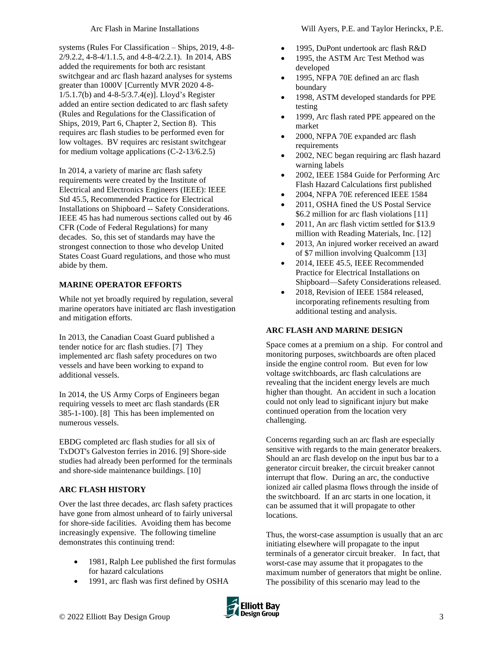systems (Rules For Classification – Ships, 2019, 4-8- 2/9.2.2, 4-8-4/1.1.5, and 4-8-4/2.2.1). In 2014, ABS added the requirements for both arc resistant switchgear and arc flash hazard analyses for systems greater than 1000V [Currently MVR 2020 4-8- 1/5.1.7(b) and 4-8-5/3.7.4(e)]. Lloyd's Register added an entire section dedicated to arc flash safety (Rules and Regulations for the Classification of Ships, 2019, Part 6, Chapter 2, Section 8). This requires arc flash studies to be performed even for low voltages. BV requires arc resistant switchgear for medium voltage applications (C-2-13/6.2.5)

In 2014, a variety of marine arc flash safety requirements were created by the Institute of Electrical and Electronics Engineers (IEEE): IEEE Std 45.5, Recommended Practice for Electrical Installations on Shipboard -- Safety Considerations. IEEE 45 has had numerous sections called out by 46 CFR (Code of Federal Regulations) for many decades. So, this set of standards may have the strongest connection to those who develop United States Coast Guard regulations, and those who must abide by them.

# **MARINE OPERATOR EFFORTS**

While not yet broadly required by regulation, several marine operators have initiated arc flash investigation and mitigation efforts.

In 2013, the Canadian Coast Guard published a tender notice for arc flash studies. [7] They implemented arc flash safety procedures on two vessels and have been working to expand to additional vessels.

In 2014, the US Army Corps of Engineers began requiring vessels to meet arc flash standards (ER 385-1-100). [8] This has been implemented on numerous vessels.

EBDG completed arc flash studies for all six of TxDOT's Galveston ferries in 2016. [9] Shore-side studies had already been performed for the terminals and shore-side maintenance buildings. [10]

# **ARC FLASH HISTORY**

Over the last three decades, arc flash safety practices have gone from almost unheard of to fairly universal for shore-side facilities. Avoiding them has become increasingly expensive. The following timeline demonstrates this continuing trend:

- 1981, Ralph Lee published the first formulas for hazard calculations
- 1991, arc flash was first defined by OSHA
- 1995, DuPont undertook arc flash R&D
- 1995, the ASTM Arc Test Method was developed
- 1995, NFPA 70E defined an arc flash boundary
- 1998, ASTM developed standards for PPE testing
- 1999, Arc flash rated PPE appeared on the market
- 2000, NFPA 70E expanded arc flash requirements
- 2002, NEC began requiring arc flash hazard warning labels
- 2002, IEEE 1584 Guide for Performing Arc Flash Hazard Calculations first published
- 2004, NFPA 70E referenced IEEE 1584
- 2011, OSHA fined the US Postal Service \$6.2 million for arc flash violations [11]
- 2011. An arc flash victim settled for \$13.9 million with Reading Materials, Inc. [12]
- 2013, An injured worker received an award of \$7 million involving Qualcomm [13]
- 2014, IEEE 45.5, IEEE Recommended Practice for Electrical Installations on Shipboard—Safety Considerations released.
- 2018, Revision of IEEE 1584 released, incorporating refinements resulting from additional testing and analysis.

# **ARC FLASH AND MARINE DESIGN**

Space comes at a premium on a ship. For control and monitoring purposes, switchboards are often placed inside the engine control room. But even for low voltage switchboards, arc flash calculations are revealing that the incident energy levels are much higher than thought. An accident in such a location could not only lead to significant injury but make continued operation from the location very challenging.

Concerns regarding such an arc flash are especially sensitive with regards to the main generator breakers. Should an arc flash develop on the input bus bar to a generator circuit breaker, the circuit breaker cannot interrupt that flow. During an arc, the conductive ionized air called plasma flows through the inside of the switchboard. If an arc starts in one location, it can be assumed that it will propagate to other locations.

Thus, the worst-case assumption is usually that an arc initiating elsewhere will propagate to the input terminals of a generator circuit breaker. In fact, that worst-case may assume that it propagates to the maximum number of generators that might be online. The possibility of this scenario may lead to the

**Elliott Bay**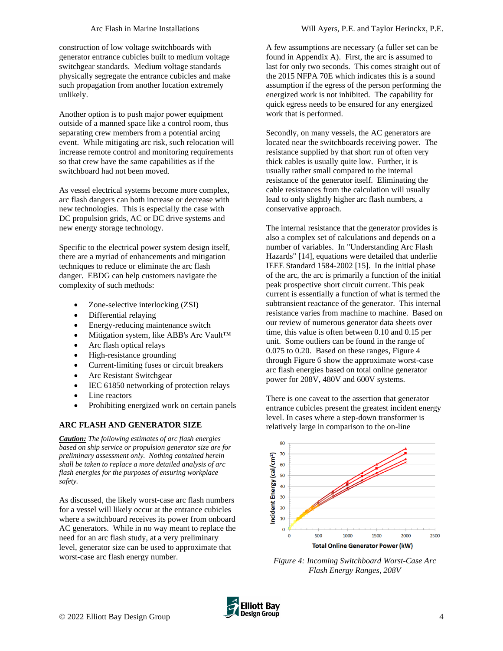construction of low voltage switchboards with generator entrance cubicles built to medium voltage switchgear standards. Medium voltage standards physically segregate the entrance cubicles and make such propagation from another location extremely unlikely.

Another option is to push major power equipment outside of a manned space like a control room, thus separating crew members from a potential arcing event. While mitigating arc risk, such relocation will increase remote control and monitoring requirements so that crew have the same capabilities as if the switchboard had not been moved.

As vessel electrical systems become more complex, arc flash dangers can both increase or decrease with new technologies. This is especially the case with DC propulsion grids, AC or DC drive systems and new energy storage technology.

Specific to the electrical power system design itself, there are a myriad of enhancements and mitigation techniques to reduce or eliminate the arc flash danger. EBDG can help customers navigate the complexity of such methods:

- Zone-selective interlocking (ZSI)
- Differential relaying
- Energy-reducing maintenance switch
- Mitigation system, like ABB's Arc Vault™
- Arc flash optical relays
- High-resistance grounding
- Current-limiting fuses or circuit breakers
- Arc Resistant Switchgear
- IEC 61850 networking of protection relays
- Line reactors
- Prohibiting energized work on certain panels

### **ARC FLASH AND GENERATOR SIZE**

*Caution: The following estimates of arc flash energies based on ship service or propulsion generator size are for preliminary assessment only. Nothing contained herein shall be taken to replace a more detailed analysis of arc flash energies for the purposes of ensuring workplace safety.*

As discussed, the likely worst-case arc flash numbers for a vessel will likely occur at the entrance cubicles where a switchboard receives its power from onboard AC generators. While in no way meant to replace the need for an arc flash study, at a very preliminary level, generator size can be used to approximate that worst-case arc flash energy number.

A few assumptions are necessary (a fuller set can be found in Appendix A). First, the arc is assumed to last for only two seconds. This comes straight out of the 2015 NFPA 70E which indicates this is a sound assumption if the egress of the person performing the energized work is not inhibited. The capability for quick egress needs to be ensured for any energized work that is performed.

Secondly, on many vessels, the AC generators are located near the switchboards receiving power. The resistance supplied by that short run of often very thick cables is usually quite low. Further, it is usually rather small compared to the internal resistance of the generator itself. Eliminating the cable resistances from the calculation will usually lead to only slightly higher arc flash numbers, a conservative approach.

The internal resistance that the generator provides is also a complex set of calculations and depends on a number of variables. In "Understanding Arc Flash Hazards" [14], equations were detailed that underlie IEEE Standard 1584-2002 [15]. In the initial phase of the arc, the arc is primarily a function of the initial peak prospective short circuit current. This peak current is essentially a function of what is termed the subtransient reactance of the generator. This internal resistance varies from machine to machine. Based on our review of numerous generator data sheets over time, this value is often between 0.10 and 0.15 per unit. Some outliers can be found in the range of 0.075 to 0.20. Based on these ranges, [Figure 4](#page-3-0) throug[h Figure 6](#page-4-0) show the approximate worst-case arc flash energies based on total online generator power for 208V, 480V and 600V systems.

There is one caveat to the assertion that generator entrance cubicles present the greatest incident energy level. In cases where a step-down transformer is relatively large in comparison to the on-line



<span id="page-3-0"></span>*Figure 4: Incoming Switchboard Worst-Case Arc Flash Energy Ranges, 208V*

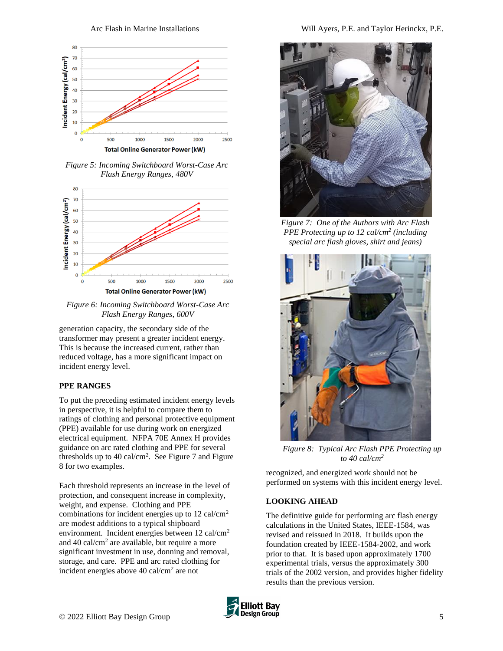

*Figure 5: Incoming Switchboard Worst-Case Arc Flash Energy Ranges, 480V*



<span id="page-4-0"></span>*Figure 6: Incoming Switchboard Worst-Case Arc Flash Energy Ranges, 600V*

generation capacity, the secondary side of the transformer may present a greater incident energy. This is because the increased current, rather than reduced voltage, has a more significant impact on incident energy level.

### **PPE RANGES**

To put the preceding estimated incident energy levels in perspective, it is helpful to compare them to ratings of clothing and personal protective equipment (PPE) available for use during work on energized electrical equipment. NFPA 70E Annex H provides guidance on arc rated clothing and PPE for several thresholds up to  $40 \text{ cal/cm}^2$ . See [Figure 7](#page-4-1) and Figure [8](#page-4-2) for two examples.

Each threshold represents an increase in the level of protection, and consequent increase in complexity, weight, and expense. Clothing and PPE combinations for incident energies up to  $12$  cal/cm<sup>2</sup> are modest additions to a typical shipboard environment. Incident energies between 12 cal/cm<sup>2</sup> and 40 cal/cm<sup>2</sup> are available, but require a more significant investment in use, donning and removal, storage, and care. PPE and arc rated clothing for incident energies above 40 cal/cm<sup>2</sup> are not



*Figure 7: One of the Authors with Arc Flash PPE Protecting up to 12 cal/cm<sup>2</sup> (including special arc flash gloves, shirt and jeans)*

<span id="page-4-1"></span>

*Figure 8: Typical Arc Flash PPE Protecting up to 40 cal/cm<sup>2</sup>*

<span id="page-4-2"></span>recognized, and energized work should not be performed on systems with this incident energy level.

### **LOOKING AHEAD**

The definitive guide for performing arc flash energy calculations in the United States, IEEE-1584, was revised and reissued in 2018. It builds upon the foundation created by IEEE-1584-2002, and work prior to that. It is based upon approximately 1700 experimental trials, versus the approximately 300 trials of the 2002 version, and provides higher fidelity results than the previous version.

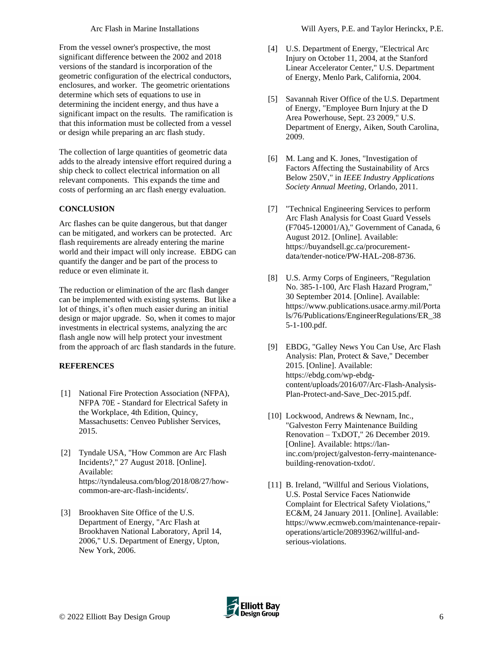From the vessel owner's prospective, the most significant difference between the 2002 and 2018 versions of the standard is incorporation of the geometric configuration of the electrical conductors, enclosures, and worker. The geometric orientations determine which sets of equations to use in determining the incident energy, and thus have a significant impact on the results. The ramification is that this information must be collected from a vessel or design while preparing an arc flash study.

The collection of large quantities of geometric data adds to the already intensive effort required during a ship check to collect electrical information on all relevant components. This expands the time and costs of performing an arc flash energy evaluation.

# **CONCLUSION**

Arc flashes can be quite dangerous, but that danger can be mitigated, and workers can be protected. Arc flash requirements are already entering the marine world and their impact will only increase. EBDG can quantify the danger and be part of the process to reduce or even eliminate it.

The reduction or elimination of the arc flash danger can be implemented with existing systems. But like a lot of things, it's often much easier during an initial design or major upgrade. So, when it comes to major investments in electrical systems, analyzing the arc flash angle now will help protect your investment from the approach of arc flash standards in the future.

# **REFERENCES**

- [1] National Fire Protection Association (NFPA), NFPA 70E - Standard for Electrical Safety in the Workplace, 4th Edition, Quincy, Massachusetts: Cenveo Publisher Services, 2015.
- [2] Tyndale USA, "How Common are Arc Flash Incidents?," 27 August 2018. [Online]. Available: https://tyndaleusa.com/blog/2018/08/27/howcommon-are-arc-flash-incidents/.
- [3] Brookhaven Site Office of the U.S. Department of Energy, "Arc Flash at Brookhaven National Laboratory, April 14, 2006," U.S. Department of Energy, Upton, New York, 2006.
- [4] U.S. Department of Energy, "Electrical Arc Injury on October 11, 2004, at the Stanford Linear Accelerator Center," U.S. Department of Energy, Menlo Park, California, 2004.
- [5] Savannah River Office of the U.S. Department of Energy, "Employee Burn Injury at the D Area Powerhouse, Sept. 23 2009," U.S. Department of Energy, Aiken, South Carolina, 2009.
- [6] M. Lang and K. Jones, "Investigation of Factors Affecting the Sustainability of Arcs Below 250V," in *IEEE Industry Applications Society Annual Meeting*, Orlando, 2011.
- [7] "Technical Engineering Services to perform Arc Flash Analysis for Coast Guard Vessels (F7045-120001/A)," Government of Canada, 6 August 2012. [Online]. Available: https://buyandsell.gc.ca/procurementdata/tender-notice/PW-HAL-208-8736.
- [8] U.S. Army Corps of Engineers, "Regulation No. 385-1-100, Arc Flash Hazard Program," 30 September 2014. [Online]. Available: https://www.publications.usace.army.mil/Porta ls/76/Publications/EngineerRegulations/ER\_38 5-1-100.pdf.
- [9] EBDG, "Galley News You Can Use, Arc Flash Analysis: Plan, Protect & Save," December 2015. [Online]. Available: https://ebdg.com/wp-ebdgcontent/uploads/2016/07/Arc-Flash-Analysis-Plan-Protect-and-Save\_Dec-2015.pdf.
- [10] Lockwood, Andrews & Newnam, Inc., "Galveston Ferry Maintenance Building Renovation – TxDOT," 26 December 2019. [Online]. Available: https://laninc.com/project/galveston-ferry-maintenancebuilding-renovation-txdot/.
- [11] B. Ireland, "Willful and Serious Violations, U.S. Postal Service Faces Nationwide Complaint for Electrical Safety Violations," EC&M, 24 January 2011. [Online]. Available: https://www.ecmweb.com/maintenance-repairoperations/article/20893962/willful-andserious-violations.